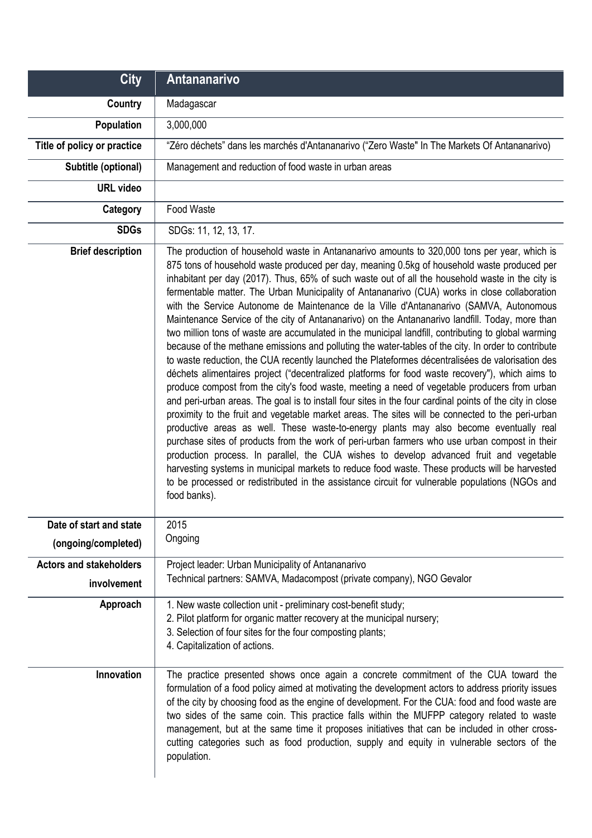| <b>City</b>                                    | <b>Antananarivo</b>                                                                                                                                                                                                                                                                                                                                                                                                                                                                                                                                                                                                                                                                                                                                                                                                                                                                                                                                                                                                                                                                                                                                                                                                                                                                                                                                                                                                                                                                                                                                                                                                                                                                                                                                                                                                                           |
|------------------------------------------------|-----------------------------------------------------------------------------------------------------------------------------------------------------------------------------------------------------------------------------------------------------------------------------------------------------------------------------------------------------------------------------------------------------------------------------------------------------------------------------------------------------------------------------------------------------------------------------------------------------------------------------------------------------------------------------------------------------------------------------------------------------------------------------------------------------------------------------------------------------------------------------------------------------------------------------------------------------------------------------------------------------------------------------------------------------------------------------------------------------------------------------------------------------------------------------------------------------------------------------------------------------------------------------------------------------------------------------------------------------------------------------------------------------------------------------------------------------------------------------------------------------------------------------------------------------------------------------------------------------------------------------------------------------------------------------------------------------------------------------------------------------------------------------------------------------------------------------------------------|
| Country                                        | Madagascar                                                                                                                                                                                                                                                                                                                                                                                                                                                                                                                                                                                                                                                                                                                                                                                                                                                                                                                                                                                                                                                                                                                                                                                                                                                                                                                                                                                                                                                                                                                                                                                                                                                                                                                                                                                                                                    |
| Population                                     | 3,000,000                                                                                                                                                                                                                                                                                                                                                                                                                                                                                                                                                                                                                                                                                                                                                                                                                                                                                                                                                                                                                                                                                                                                                                                                                                                                                                                                                                                                                                                                                                                                                                                                                                                                                                                                                                                                                                     |
| Title of policy or practice                    | "Zéro déchets" dans les marchés d'Antananarivo ("Zero Waste" In The Markets Of Antananarivo)                                                                                                                                                                                                                                                                                                                                                                                                                                                                                                                                                                                                                                                                                                                                                                                                                                                                                                                                                                                                                                                                                                                                                                                                                                                                                                                                                                                                                                                                                                                                                                                                                                                                                                                                                  |
| Subtitle (optional)                            | Management and reduction of food waste in urban areas                                                                                                                                                                                                                                                                                                                                                                                                                                                                                                                                                                                                                                                                                                                                                                                                                                                                                                                                                                                                                                                                                                                                                                                                                                                                                                                                                                                                                                                                                                                                                                                                                                                                                                                                                                                         |
| <b>URL</b> video                               |                                                                                                                                                                                                                                                                                                                                                                                                                                                                                                                                                                                                                                                                                                                                                                                                                                                                                                                                                                                                                                                                                                                                                                                                                                                                                                                                                                                                                                                                                                                                                                                                                                                                                                                                                                                                                                               |
| Category                                       | Food Waste                                                                                                                                                                                                                                                                                                                                                                                                                                                                                                                                                                                                                                                                                                                                                                                                                                                                                                                                                                                                                                                                                                                                                                                                                                                                                                                                                                                                                                                                                                                                                                                                                                                                                                                                                                                                                                    |
| <b>SDGs</b>                                    | SDGs: 11, 12, 13, 17.                                                                                                                                                                                                                                                                                                                                                                                                                                                                                                                                                                                                                                                                                                                                                                                                                                                                                                                                                                                                                                                                                                                                                                                                                                                                                                                                                                                                                                                                                                                                                                                                                                                                                                                                                                                                                         |
| <b>Brief description</b>                       | The production of household waste in Antananarivo amounts to 320,000 tons per year, which is<br>875 tons of household waste produced per day, meaning 0.5kg of household waste produced per<br>inhabitant per day (2017). Thus, 65% of such waste out of all the household waste in the city is<br>fermentable matter. The Urban Municipality of Antananarivo (CUA) works in close collaboration<br>with the Service Autonome de Maintenance de la Ville d'Antananarivo (SAMVA, Autonomous<br>Maintenance Service of the city of Antananarivo) on the Antananarivo landfill. Today, more than<br>two million tons of waste are accumulated in the municipal landfill, contributing to global warming<br>because of the methane emissions and polluting the water-tables of the city. In order to contribute<br>to waste reduction, the CUA recently launched the Plateformes décentralisées de valorisation des<br>déchets alimentaires project ("decentralized platforms for food waste recovery"), which aims to<br>produce compost from the city's food waste, meeting a need of vegetable producers from urban<br>and peri-urban areas. The goal is to install four sites in the four cardinal points of the city in close<br>proximity to the fruit and vegetable market areas. The sites will be connected to the peri-urban<br>productive areas as well. These waste-to-energy plants may also become eventually real<br>purchase sites of products from the work of peri-urban farmers who use urban compost in their<br>production process. In parallel, the CUA wishes to develop advanced fruit and vegetable<br>harvesting systems in municipal markets to reduce food waste. These products will be harvested<br>to be processed or redistributed in the assistance circuit for vulnerable populations (NGOs and<br>food banks). |
| Date of start and state<br>(ongoing/completed) | 2015<br>Ongoing                                                                                                                                                                                                                                                                                                                                                                                                                                                                                                                                                                                                                                                                                                                                                                                                                                                                                                                                                                                                                                                                                                                                                                                                                                                                                                                                                                                                                                                                                                                                                                                                                                                                                                                                                                                                                               |
| <b>Actors and stakeholders</b><br>involvement  | Project leader: Urban Municipality of Antananarivo<br>Technical partners: SAMVA, Madacompost (private company), NGO Gevalor                                                                                                                                                                                                                                                                                                                                                                                                                                                                                                                                                                                                                                                                                                                                                                                                                                                                                                                                                                                                                                                                                                                                                                                                                                                                                                                                                                                                                                                                                                                                                                                                                                                                                                                   |
| Approach                                       | 1. New waste collection unit - preliminary cost-benefit study;<br>2. Pilot platform for organic matter recovery at the municipal nursery;<br>3. Selection of four sites for the four composting plants;<br>4. Capitalization of actions.                                                                                                                                                                                                                                                                                                                                                                                                                                                                                                                                                                                                                                                                                                                                                                                                                                                                                                                                                                                                                                                                                                                                                                                                                                                                                                                                                                                                                                                                                                                                                                                                      |
| Innovation                                     | The practice presented shows once again a concrete commitment of the CUA toward the<br>formulation of a food policy aimed at motivating the development actors to address priority issues<br>of the city by choosing food as the engine of development. For the CUA: food and food waste are<br>two sides of the same coin. This practice falls within the MUFPP category related to waste<br>management, but at the same time it proposes initiatives that can be included in other cross-<br>cutting categories such as food production, supply and equity in vulnerable sectors of the<br>population.                                                                                                                                                                                                                                                                                                                                                                                                                                                                                                                                                                                                                                                                                                                                                                                                                                                                                                                                                                                                                                                                                                                                                                                                                                      |